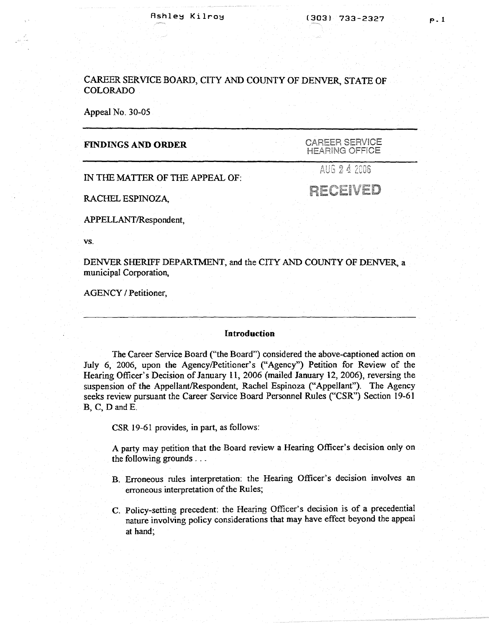# CAREER SERVICE BOARD, CITY AND COUNTY OF DENVER, STATE OF COLORADO

Appeal No. 30-05

## **FINDINGS AND ORDER**

CAREER SERVICE **HEARING OFFICE** 

IN THE MATTER OF THE APPEAL OF:

AUG 2 4 2006

RECEIVED

RACHEL ESPINOZA,

APPELLANT/Respondent,

vs.

DENVER SHERIFF DEPARTMENT, and the CITY AND COUNTY OF DENVER, a municipal Corporation,

AGENCY / Petitioner,

### **Introduction**

The Career Service Board ("the Board") considered the above-captioned action on July 6, 2006, upon the Agency/Petitioner's ("Agency") Petition for Review of the Hearing Officer's Decision of January 11, 2006 (mailed January 12, 2006), reversing the suspension of the Appellant/Respondent, Rachel Espinoza ("Appellant"). The Agency seeks review pursuant the Career Service Board Personnel Rules ("CSR") Section 19-61 B, C, D andE.

CSR 19-61 provides, in part, as follows:

A party may petition that the Board review a Hearing Officer's decision only on the following grounds ...

- B. Erroneous rules interpretation: the Hearing Officer's decision involves an erroneous interpretation of the Rules;
- C. Policy-setting precedent: the Hearing Officer's decision is of a precedential nature involving policy considerations that may have effect beyond the appeal at hand;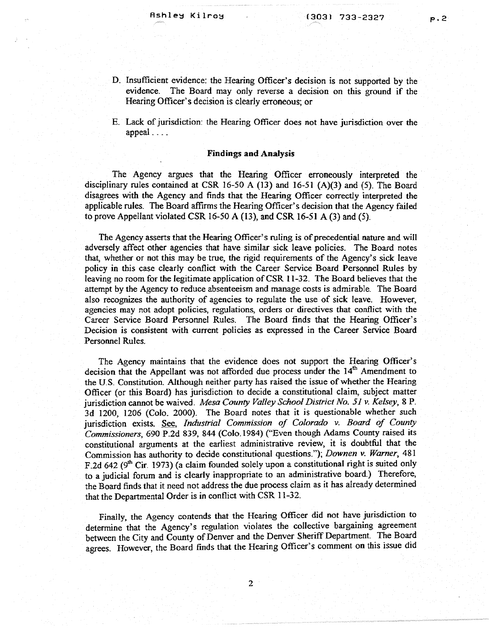p.2

- D. Insufficient evidence: the Hearing Officer's decision is not supported by the evidence. The Board may only reverse a decision on this ground if the Hearing Officer's decision is clearly erroneous; or
- E. Lack of jurisdiction: the Hearing Officer does not have jurisdiction over the appeal ....

#### **Findings and Analysis**

The Agency argues that the Hearing Officer erroneously interpreted the disciplinary rules contained at CSR 16-50 A (13) and 16-51 (A)(3) and (5). The Board disagrees with the Agency and finds that the Hearing Officer correctly interpreted the applicable rules. The Board affirms the Hearing Officer's decision that the Agency failed to prove Appellant violated CSR 16-50 A (13), and CSR 16-51 A (3) and (5).

The Agency asserts that the Hearing Officer's ruling is of precedential nature and will adversely affect other agencies that have similar sick leave policies. The Board notes that, whether or not this may be true, the rigid requirements of the Agency's sick leave policy in this case dearly conflict with the Career Service Board Personnel Rules by leaving no room for the legitimate application of CSR 11-32. The Board believes that the attempt by the Agency to reduce absenteeism and manage costs is admirable. The Board also recognizes the authority of agencies to regulate the use of sick leave. However, agencies may not adopt policies, regulations, orders or directives that conflict with the Career Service Board Personnel Rules. The Board finds that the Hearing Officer's Decision is consistent with current policies as expressed in the Career Service Board Personnel Rules.

The Agency maintains that the evidence does not support the Hearing Officer's decision that the Appellant was not afforded due process under the 14<sup>th</sup> Amendment to the U.S. Constitution. Although neither party has raised the issue of whether the Hearing Officer (or this Board) has jurisdiction to decide a constitutional claim, subject matter jurisdiction cannot be waived. *Mesa County Valley School District No. 51 v. Kelsey,* 8 P. 3d 1200, 1206 (Colo. 2000). The Board notes that it is questionable whether such jurisdiction exists. See, *Industrial Commission of Colorado v. Board of County Commissioners,* 690 P.2d 839, 844 (Colo.1984) ("Even though Adams County raised its constitutional arguments at the earliest administrative review, it is doubtful that the Commission has authority to decide constitutional questions."); *Downen v. Warner,* 481 F.2d 642 (9<sup>th</sup> Cir. 1973) (a claim founded solely upon a constitutional right is suited only to a judicial forum and is clearly inappropriate to an administrative board.) Therefore, the Board finds that it need not address the due process claim as it has already determined that the Departmental Order is **in** conflict with CSR 11-32.

Finally, the Agency contends that the Hearing Officer did not have jurisdiction to determine that the Agency's regulation violates the collective bargaining agreement between the City and County of Denver and the Denver Sheriff Department. The Board agrees. However, the Board finds that the Hearing Officer's comment on this issue did